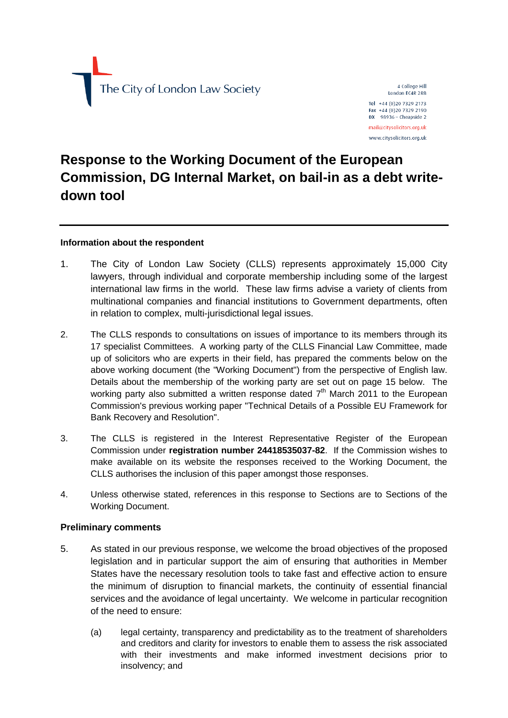The City of London Law Society

4 College Hill London EC4R 2RB Tel +44 (0)20 7329 2173 Fax +44 (0)20 7329 2190  $DX$  98936 - Cheapside 2 mail@citysolicitors.org.uk

www.citysolicitors.org.uk

# **Response to the Working Document of the European Commission, DG Internal Market, on bail-in as a debt writedown tool**

# **Information about the respondent**

- 1. The City of London Law Society (CLLS) represents approximately 15,000 City lawyers, through individual and corporate membership including some of the largest international law firms in the world. These law firms advise a variety of clients from multinational companies and financial institutions to Government departments, often in relation to complex, multi-jurisdictional legal issues.
- 2. The CLLS responds to consultations on issues of importance to its members through its 17 specialist Committees. A working party of the CLLS Financial Law Committee, made up of solicitors who are experts in their field, has prepared the comments below on the above working document (the "Working Document") from the perspective of English law. Details about the membership of the working party are set out on page 15 below. The working party also submitted a written response dated  $7<sup>th</sup>$  March 2011 to the European Commission's previous working paper "Technical Details of a Possible EU Framework for Bank Recovery and Resolution".
- 3. The CLLS is registered in the Interest Representative Register of the European Commission under **registration number 24418535037-82**. If the Commission wishes to make available on its website the responses received to the Working Document, the CLLS authorises the inclusion of this paper amongst those responses.
- 4. Unless otherwise stated, references in this response to Sections are to Sections of the Working Document.

# **Preliminary comments**

- 5. As stated in our previous response, we welcome the broad objectives of the proposed legislation and in particular support the aim of ensuring that authorities in Member States have the necessary resolution tools to take fast and effective action to ensure the minimum of disruption to financial markets, the continuity of essential financial services and the avoidance of legal uncertainty. We welcome in particular recognition of the need to ensure:
	- (a) legal certainty, transparency and predictability as to the treatment of shareholders and creditors and clarity for investors to enable them to assess the risk associated with their investments and make informed investment decisions prior to insolvency; and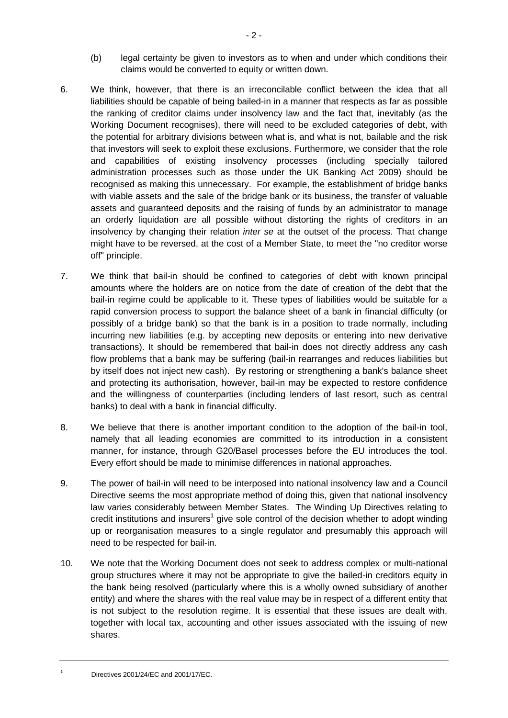- (b) legal certainty be given to investors as to when and under which conditions their claims would be converted to equity or written down.
- 6. We think, however, that there is an irreconcilable conflict between the idea that all liabilities should be capable of being bailed-in in a manner that respects as far as possible the ranking of creditor claims under insolvency law and the fact that, inevitably (as the Working Document recognises), there will need to be excluded categories of debt, with the potential for arbitrary divisions between what is, and what is not, bailable and the risk that investors will seek to exploit these exclusions. Furthermore, we consider that the role and capabilities of existing insolvency processes (including specially tailored administration processes such as those under the UK Banking Act 2009) should be recognised as making this unnecessary. For example, the establishment of bridge banks with viable assets and the sale of the bridge bank or its business, the transfer of valuable assets and guaranteed deposits and the raising of funds by an administrator to manage an orderly liquidation are all possible without distorting the rights of creditors in an insolvency by changing their relation *inter se* at the outset of the process. That change might have to be reversed, at the cost of a Member State, to meet the "no creditor worse off" principle.
- 7. We think that bail-in should be confined to categories of debt with known principal amounts where the holders are on notice from the date of creation of the debt that the bail-in regime could be applicable to it. These types of liabilities would be suitable for a rapid conversion process to support the balance sheet of a bank in financial difficulty (or possibly of a bridge bank) so that the bank is in a position to trade normally, including incurring new liabilities (e.g. by accepting new deposits or entering into new derivative transactions). It should be remembered that bail-in does not directly address any cash flow problems that a bank may be suffering (bail-in rearranges and reduces liabilities but by itself does not inject new cash). By restoring or strengthening a bank's balance sheet and protecting its authorisation, however, bail-in may be expected to restore confidence and the willingness of counterparties (including lenders of last resort, such as central banks) to deal with a bank in financial difficulty.
- 8. We believe that there is another important condition to the adoption of the bail-in tool, namely that all leading economies are committed to its introduction in a consistent manner, for instance, through G20/Basel processes before the EU introduces the tool. Every effort should be made to minimise differences in national approaches.
- 9. The power of bail-in will need to be interposed into national insolvency law and a Council Directive seems the most appropriate method of doing this, given that national insolvency law varies considerably between Member States. The Winding Up Directives relating to credit institutions and insurers<sup>1</sup> give sole control of the decision whether to adopt winding up or reorganisation measures to a single regulator and presumably this approach will need to be respected for bail-in.
- 10. We note that the Working Document does not seek to address complex or multi-national group structures where it may not be appropriate to give the bailed-in creditors equity in the bank being resolved (particularly where this is a wholly owned subsidiary of another entity) and where the shares with the real value may be in respect of a different entity that is not subject to the resolution regime. It is essential that these issues are dealt with, together with local tax, accounting and other issues associated with the issuing of new shares.

Directives 2001/24/EC and 2001/17/EC.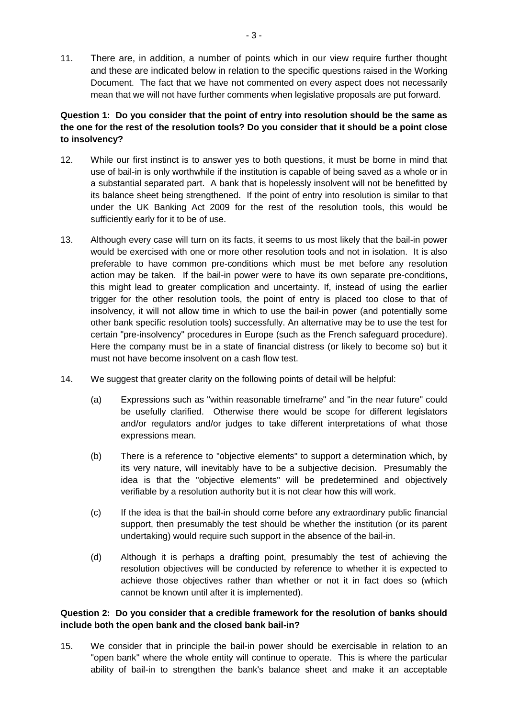11. There are, in addition, a number of points which in our view require further thought and these are indicated below in relation to the specific questions raised in the Working Document. The fact that we have not commented on every aspect does not necessarily mean that we will not have further comments when legislative proposals are put forward.

# **Question 1: Do you consider that the point of entry into resolution should be the same as the one for the rest of the resolution tools? Do you consider that it should be a point close to insolvency?**

- 12. While our first instinct is to answer yes to both questions, it must be borne in mind that use of bail-in is only worthwhile if the institution is capable of being saved as a whole or in a substantial separated part. A bank that is hopelessly insolvent will not be benefitted by its balance sheet being strengthened. If the point of entry into resolution is similar to that under the UK Banking Act 2009 for the rest of the resolution tools, this would be sufficiently early for it to be of use.
- 13. Although every case will turn on its facts, it seems to us most likely that the bail-in power would be exercised with one or more other resolution tools and not in isolation. It is also preferable to have common pre-conditions which must be met before any resolution action may be taken. If the bail-in power were to have its own separate pre-conditions, this might lead to greater complication and uncertainty. If, instead of using the earlier trigger for the other resolution tools, the point of entry is placed too close to that of insolvency, it will not allow time in which to use the bail-in power (and potentially some other bank specific resolution tools) successfully. An alternative may be to use the test for certain "pre-insolvency" procedures in Europe (such as the French safeguard procedure). Here the company must be in a state of financial distress (or likely to become so) but it must not have become insolvent on a cash flow test.
- 14. We suggest that greater clarity on the following points of detail will be helpful:
	- (a) Expressions such as "within reasonable timeframe" and "in the near future" could be usefully clarified. Otherwise there would be scope for different legislators and/or regulators and/or judges to take different interpretations of what those expressions mean.
	- (b) There is a reference to "objective elements" to support a determination which, by its very nature, will inevitably have to be a subjective decision. Presumably the idea is that the "objective elements" will be predetermined and objectively verifiable by a resolution authority but it is not clear how this will work.
	- (c) If the idea is that the bail-in should come before any extraordinary public financial support, then presumably the test should be whether the institution (or its parent undertaking) would require such support in the absence of the bail-in.
	- (d) Although it is perhaps a drafting point, presumably the test of achieving the resolution objectives will be conducted by reference to whether it is expected to achieve those objectives rather than whether or not it in fact does so (which cannot be known until after it is implemented).

## **Question 2: Do you consider that a credible framework for the resolution of banks should include both the open bank and the closed bank bail-in?**

15. We consider that in principle the bail-in power should be exercisable in relation to an "open bank" where the whole entity will continue to operate. This is where the particular ability of bail-in to strengthen the bank's balance sheet and make it an acceptable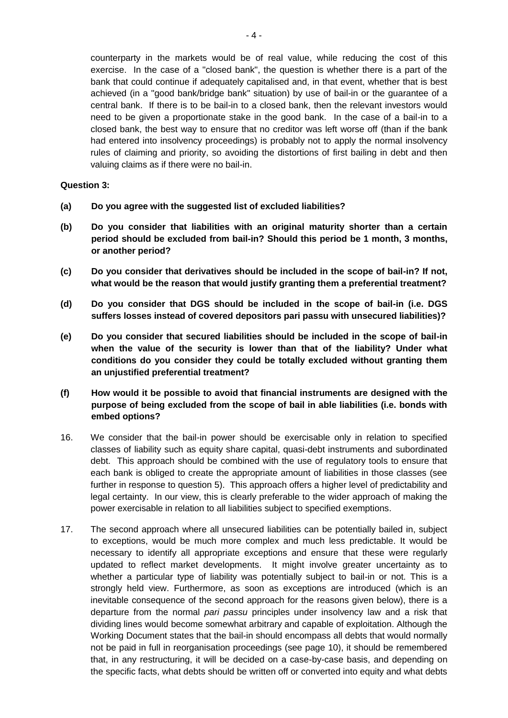counterparty in the markets would be of real value, while reducing the cost of this exercise. In the case of a "closed bank", the question is whether there is a part of the bank that could continue if adequately capitalised and, in that event, whether that is best achieved (in a "good bank/bridge bank" situation) by use of bail-in or the guarantee of a central bank. If there is to be bail-in to a closed bank, then the relevant investors would need to be given a proportionate stake in the good bank. In the case of a bail-in to a closed bank, the best way to ensure that no creditor was left worse off (than if the bank had entered into insolvency proceedings) is probably not to apply the normal insolvency rules of claiming and priority, so avoiding the distortions of first bailing in debt and then valuing claims as if there were no bail-in.

#### **Question 3:**

- **(a) Do you agree with the suggested list of excluded liabilities?**
- **(b) Do you consider that liabilities with an original maturity shorter than a certain period should be excluded from bail-in? Should this period be 1 month, 3 months, or another period?**
- **(c) Do you consider that derivatives should be included in the scope of bail-in? If not, what would be the reason that would justify granting them a preferential treatment?**
- **(d) Do you consider that DGS should be included in the scope of bail-in (i.e. DGS suffers losses instead of covered depositors pari passu with unsecured liabilities)?**
- **(e) Do you consider that secured liabilities should be included in the scope of bail-in when the value of the security is lower than that of the liability? Under what conditions do you consider they could be totally excluded without granting them an unjustified preferential treatment?**
- **(f) How would it be possible to avoid that financial instruments are designed with the purpose of being excluded from the scope of bail in able liabilities (i.e. bonds with embed options?**
- 16. We consider that the bail-in power should be exercisable only in relation to specified classes of liability such as equity share capital, quasi-debt instruments and subordinated debt. This approach should be combined with the use of regulatory tools to ensure that each bank is obliged to create the appropriate amount of liabilities in those classes (see further in response to question 5). This approach offers a higher level of predictability and legal certainty. In our view, this is clearly preferable to the wider approach of making the power exercisable in relation to all liabilities subject to specified exemptions.
- 17. The second approach where all unsecured liabilities can be potentially bailed in, subject to exceptions, would be much more complex and much less predictable. It would be necessary to identify all appropriate exceptions and ensure that these were regularly updated to reflect market developments. It might involve greater uncertainty as to whether a particular type of liability was potentially subject to bail-in or not. This is a strongly held view. Furthermore, as soon as exceptions are introduced (which is an inevitable consequence of the second approach for the reasons given below), there is a departure from the normal *pari passu* principles under insolvency law and a risk that dividing lines would become somewhat arbitrary and capable of exploitation. Although the Working Document states that the bail-in should encompass all debts that would normally not be paid in full in reorganisation proceedings (see page 10), it should be remembered that, in any restructuring, it will be decided on a case-by-case basis, and depending on the specific facts, what debts should be written off or converted into equity and what debts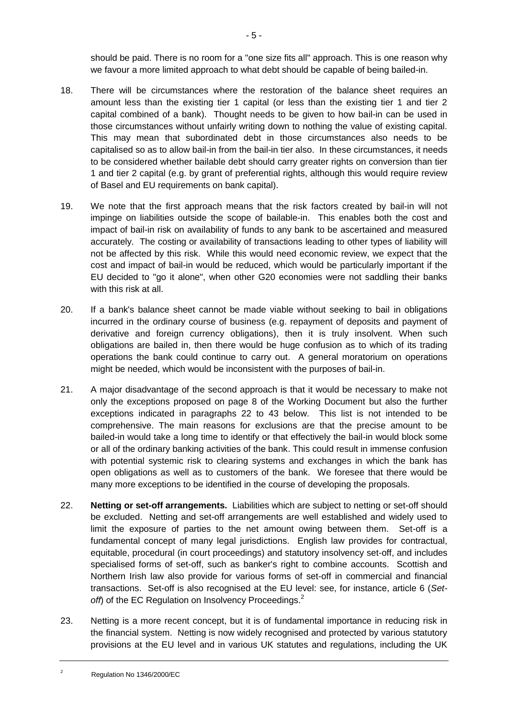should be paid. There is no room for a "one size fits all" approach. This is one reason why we favour a more limited approach to what debt should be capable of being bailed-in.

- <span id="page-4-1"></span>18. There will be circumstances where the restoration of the balance sheet requires an amount less than the existing tier 1 capital (or less than the existing tier 1 and tier 2 capital combined of a bank). Thought needs to be given to how bail-in can be used in those circumstances without unfairly writing down to nothing the value of existing capital. This may mean that subordinated debt in those circumstances also needs to be capitalised so as to allow bail-in from the bail-in tier also. In these circumstances, it needs to be considered whether bailable debt should carry greater rights on conversion than tier 1 and tier 2 capital (e.g. by grant of preferential rights, although this would require review of Basel and EU requirements on bank capital).
- 19. We note that the first approach means that the risk factors created by bail-in will not impinge on liabilities outside the scope of bailable-in. This enables both the cost and impact of bail-in risk on availability of funds to any bank to be ascertained and measured accurately. The costing or availability of transactions leading to other types of liability will not be affected by this risk. While this would need economic review, we expect that the cost and impact of bail-in would be reduced, which would be particularly important if the EU decided to "go it alone", when other G20 economies were not saddling their banks with this risk at all.
- 20. If a bank's balance sheet cannot be made viable without seeking to bail in obligations incurred in the ordinary course of business (e.g. repayment of deposits and payment of derivative and foreign currency obligations), then it is truly insolvent. When such obligations are bailed in, then there would be huge confusion as to which of its trading operations the bank could continue to carry out. A general moratorium on operations might be needed, which would be inconsistent with the purposes of bail-in.
- 21. A major disadvantage of the second approach is that it would be necessary to make not only the exceptions proposed on page 8 of the Working Document but also the further exceptions indicated in paragraphs [22](#page-4-0) to [43](#page-8-0) below. This list is not intended to be comprehensive. The main reasons for exclusions are that the precise amount to be bailed-in would take a long time to identify or that effectively the bail-in would block some or all of the ordinary banking activities of the bank. This could result in immense confusion with potential systemic risk to clearing systems and exchanges in which the bank has open obligations as well as to customers of the bank. We foresee that there would be many more exceptions to be identified in the course of developing the proposals.
- <span id="page-4-0"></span>22. **Netting or set-off arrangements.** Liabilities which are subject to netting or set-off should be excluded. Netting and set-off arrangements are well established and widely used to limit the exposure of parties to the net amount owing between them. Set-off is a fundamental concept of many legal jurisdictions. English law provides for contractual, equitable, procedural (in court proceedings) and statutory insolvency set-off, and includes specialised forms of set-off, such as banker's right to combine accounts. Scottish and Northern Irish law also provide for various forms of set-off in commercial and financial transactions. Set-off is also recognised at the EU level: see, for instance, article 6 (*Set*off) of the EC Regulation on Insolvency Proceedings.<sup>2</sup>
- 23. Netting is a more recent concept, but it is of fundamental importance in reducing risk in the financial system. Netting is now widely recognised and protected by various statutory provisions at the EU level and in various UK statutes and regulations, including the UK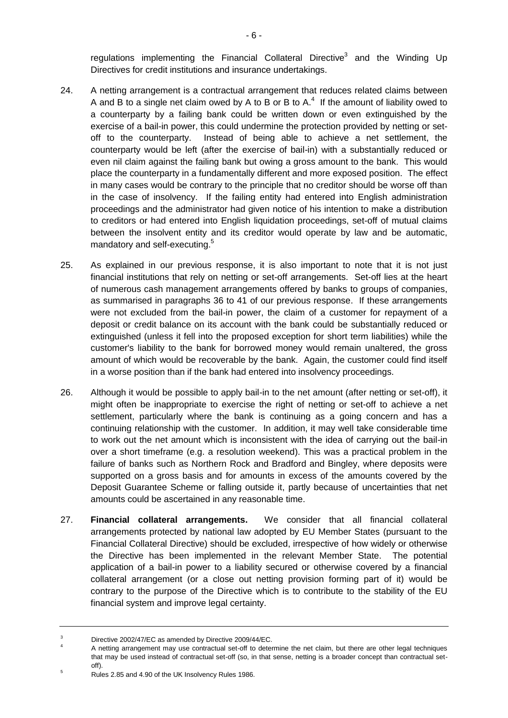regulations implementing the Financial Collateral Directive<sup>3</sup> and the Winding Up Directives for credit institutions and insurance undertakings.

- 24. A netting arrangement is a contractual arrangement that reduces related claims between A and B to a single net claim owed by A to B or B to A.<sup>4</sup> If the amount of liability owed to a counterparty by a failing bank could be written down or even extinguished by the exercise of a bail-in power, this could undermine the protection provided by netting or setoff to the counterparty. Instead of being able to achieve a net settlement, the counterparty would be left (after the exercise of bail-in) with a substantially reduced or even nil claim against the failing bank but owing a gross amount to the bank. This would place the counterparty in a fundamentally different and more exposed position. The effect in many cases would be contrary to the principle that no creditor should be worse off than in the case of insolvency. If the failing entity had entered into English administration proceedings and the administrator had given notice of his intention to make a distribution to creditors or had entered into English liquidation proceedings, set-off of mutual claims between the insolvent entity and its creditor would operate by law and be automatic, mandatory and self-executing.<sup>5</sup>
- 25. As explained in our previous response, it is also important to note that it is not just financial institutions that rely on netting or set-off arrangements. Set-off lies at the heart of numerous cash management arrangements offered by banks to groups of companies, as summarised in paragraphs 36 to 41 of our previous response. If these arrangements were not excluded from the bail-in power, the claim of a customer for repayment of a deposit or credit balance on its account with the bank could be substantially reduced or extinguished (unless it fell into the proposed exception for short term liabilities) while the customer's liability to the bank for borrowed money would remain unaltered, the gross amount of which would be recoverable by the bank. Again, the customer could find itself in a worse position than if the bank had entered into insolvency proceedings.
- 26. Although it would be possible to apply bail-in to the net amount (after netting or set-off), it might often be inappropriate to exercise the right of netting or set-off to achieve a net settlement, particularly where the bank is continuing as a going concern and has a continuing relationship with the customer. In addition, it may well take considerable time to work out the net amount which is inconsistent with the idea of carrying out the bail-in over a short timeframe (e.g. a resolution weekend). This was a practical problem in the failure of banks such as Northern Rock and Bradford and Bingley, where deposits were supported on a gross basis and for amounts in excess of the amounts covered by the Deposit Guarantee Scheme or falling outside it, partly because of uncertainties that net amounts could be ascertained in any reasonable time.
- 27. **Financial collateral arrangements.** We consider that all financial collateral arrangements protected by national law adopted by EU Member States (pursuant to the Financial Collateral Directive) should be excluded, irrespective of how widely or otherwise the Directive has been implemented in the relevant Member State. The potential application of a bail-in power to a liability secured or otherwise covered by a financial collateral arrangement (or a close out netting provision forming part of it) would be contrary to the purpose of the Directive which is to contribute to the stability of the EU financial system and improve legal certainty.

<sup>3</sup> Directive 2002/47/EC as amended by Directive 2009/44/EC.

<sup>4</sup> A netting arrangement may use contractual set-off to determine the net claim, but there are other legal techniques that may be used instead of contractual set-off (so, in that sense, netting is a broader concept than contractual setoff).

<sup>&</sup>lt;sup>5</sup> Rules 2.85 and 4.90 of the UK Insolvency Rules 1986.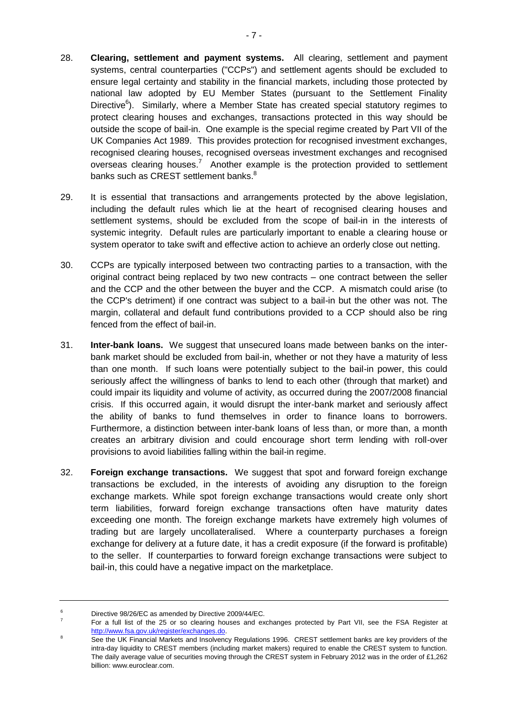- 28. **Clearing, settlement and payment systems.** All clearing, settlement and payment systems, central counterparties ("CCPs") and settlement agents should be excluded to ensure legal certainty and stability in the financial markets, including those protected by national law adopted by EU Member States (pursuant to the Settlement Finality Directive<sup>6</sup>). Similarly, where a Member State has created special statutory regimes to protect clearing houses and exchanges, transactions protected in this way should be outside the scope of bail-in. One example is the special regime created by Part VII of the UK Companies Act 1989. This provides protection for recognised investment exchanges, recognised clearing houses, recognised overseas investment exchanges and recognised overseas clearing houses.<sup>7</sup> Another example is the protection provided to settlement banks such as CREST settlement banks.<sup>8</sup>
- 29. It is essential that transactions and arrangements protected by the above legislation, including the default rules which lie at the heart of recognised clearing houses and settlement systems, should be excluded from the scope of bail-in in the interests of systemic integrity. Default rules are particularly important to enable a clearing house or system operator to take swift and effective action to achieve an orderly close out netting.
- 30. CCPs are typically interposed between two contracting parties to a transaction, with the original contract being replaced by two new contracts – one contract between the seller and the CCP and the other between the buyer and the CCP. A mismatch could arise (to the CCP's detriment) if one contract was subject to a bail-in but the other was not. The margin, collateral and default fund contributions provided to a CCP should also be ring fenced from the effect of bail-in.
- 31. **Inter-bank loans.** We suggest that unsecured loans made between banks on the interbank market should be excluded from bail-in, whether or not they have a maturity of less than one month. If such loans were potentially subject to the bail-in power, this could seriously affect the willingness of banks to lend to each other (through that market) and could impair its liquidity and volume of activity, as occurred during the 2007/2008 financial crisis. If this occurred again, it would disrupt the inter-bank market and seriously affect the ability of banks to fund themselves in order to finance loans to borrowers. Furthermore, a distinction between inter-bank loans of less than, or more than, a month creates an arbitrary division and could encourage short term lending with roll-over provisions to avoid liabilities falling within the bail-in regime.
- 32. **Foreign exchange transactions.** We suggest that spot and forward foreign exchange transactions be excluded, in the interests of avoiding any disruption to the foreign exchange markets. While spot foreign exchange transactions would create only short term liabilities, forward foreign exchange transactions often have maturity dates exceeding one month. The foreign exchange markets have extremely high volumes of trading but are largely uncollateralised. Where a counterparty purchases a foreign exchange for delivery at a future date, it has a credit exposure (if the forward is profitable) to the seller. If counterparties to forward foreign exchange transactions were subject to bail-in, this could have a negative impact on the marketplace.

<sup>6</sup> Directive 98/26/EC as amended by Directive 2009/44/EC.

<sup>7</sup> For a full list of the 25 or so clearing houses and exchanges protected by Part VII, see the FSA Register at [http://www.fsa.gov.uk/register/exchanges.do.](http://www.fsa.gov.uk/register/exchanges.do)

See the UK Financial Markets and Insolvency Regulations 1996. CREST settlement banks are key providers of the intra-day liquidity to CREST members (including market makers) required to enable the CREST system to function. The daily average value of securities moving through the CREST system in February 2012 was in the order of £1,262 billion: www.euroclear.com.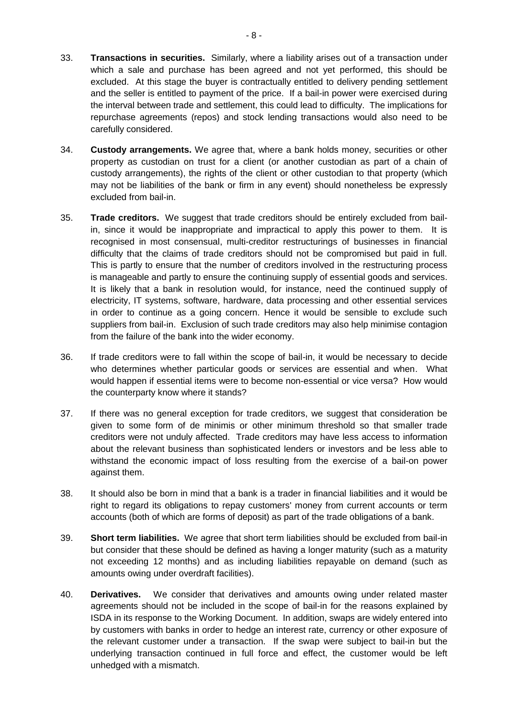- 33. **Transactions in securities.** Similarly, where a liability arises out of a transaction under which a sale and purchase has been agreed and not yet performed, this should be excluded. At this stage the buyer is contractually entitled to delivery pending settlement and the seller is entitled to payment of the price. If a bail-in power were exercised during the interval between trade and settlement, this could lead to difficulty. The implications for repurchase agreements (repos) and stock lending transactions would also need to be carefully considered.
- 34. **Custody arrangements.** We agree that, where a bank holds money, securities or other property as custodian on trust for a client (or another custodian as part of a chain of custody arrangements), the rights of the client or other custodian to that property (which may not be liabilities of the bank or firm in any event) should nonetheless be expressly excluded from bail-in.
- 35. **Trade creditors.** We suggest that trade creditors should be entirely excluded from bailin, since it would be inappropriate and impractical to apply this power to them. It is recognised in most consensual, multi-creditor restructurings of businesses in financial difficulty that the claims of trade creditors should not be compromised but paid in full. This is partly to ensure that the number of creditors involved in the restructuring process is manageable and partly to ensure the continuing supply of essential goods and services. It is likely that a bank in resolution would, for instance, need the continued supply of electricity, IT systems, software, hardware, data processing and other essential services in order to continue as a going concern. Hence it would be sensible to exclude such suppliers from bail-in. Exclusion of such trade creditors may also help minimise contagion from the failure of the bank into the wider economy.
- 36. If trade creditors were to fall within the scope of bail-in, it would be necessary to decide who determines whether particular goods or services are essential and when. What would happen if essential items were to become non-essential or vice versa? How would the counterparty know where it stands?
- 37. If there was no general exception for trade creditors, we suggest that consideration be given to some form of de minimis or other minimum threshold so that smaller trade creditors were not unduly affected. Trade creditors may have less access to information about the relevant business than sophisticated lenders or investors and be less able to withstand the economic impact of loss resulting from the exercise of a bail-on power against them.
- 38. It should also be born in mind that a bank is a trader in financial liabilities and it would be right to regard its obligations to repay customers' money from current accounts or term accounts (both of which are forms of deposit) as part of the trade obligations of a bank.
- 39. **Short term liabilities.** We agree that short term liabilities should be excluded from bail-in but consider that these should be defined as having a longer maturity (such as a maturity not exceeding 12 months) and as including liabilities repayable on demand (such as amounts owing under overdraft facilities).
- 40. **Derivatives.** We consider that derivatives and amounts owing under related master agreements should not be included in the scope of bail-in for the reasons explained by ISDA in its response to the Working Document. In addition, swaps are widely entered into by customers with banks in order to hedge an interest rate, currency or other exposure of the relevant customer under a transaction. If the swap were subject to bail-in but the underlying transaction continued in full force and effect, the customer would be left unhedged with a mismatch.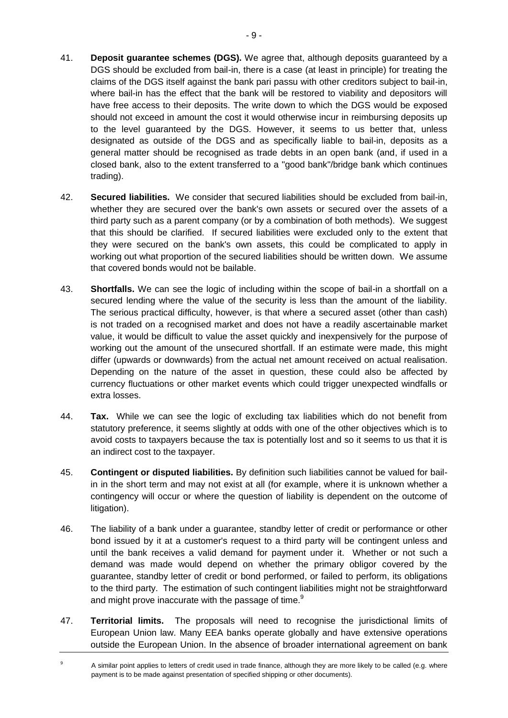- 41. **Deposit guarantee schemes (DGS).** We agree that, although deposits guaranteed by a DGS should be excluded from bail-in, there is a case (at least in principle) for treating the claims of the DGS itself against the bank pari passu with other creditors subject to bail-in, where bail-in has the effect that the bank will be restored to viability and depositors will have free access to their deposits. The write down to which the DGS would be exposed should not exceed in amount the cost it would otherwise incur in reimbursing deposits up to the level guaranteed by the DGS. However, it seems to us better that, unless designated as outside of the DGS and as specifically liable to bail-in, deposits as a general matter should be recognised as trade debts in an open bank (and, if used in a closed bank, also to the extent transferred to a "good bank"/bridge bank which continues trading).
- 42. **Secured liabilities.** We consider that secured liabilities should be excluded from bail-in, whether they are secured over the bank's own assets or secured over the assets of a third party such as a parent company (or by a combination of both methods). We suggest that this should be clarified. If secured liabilities were excluded only to the extent that they were secured on the bank's own assets, this could be complicated to apply in working out what proportion of the secured liabilities should be written down. We assume that covered bonds would not be bailable.
- <span id="page-8-0"></span>43. **Shortfalls.** We can see the logic of including within the scope of bail-in a shortfall on a secured lending where the value of the security is less than the amount of the liability. The serious practical difficulty, however, is that where a secured asset (other than cash) is not traded on a recognised market and does not have a readily ascertainable market value, it would be difficult to value the asset quickly and inexpensively for the purpose of working out the amount of the unsecured shortfall. If an estimate were made, this might differ (upwards or downwards) from the actual net amount received on actual realisation. Depending on the nature of the asset in question, these could also be affected by currency fluctuations or other market events which could trigger unexpected windfalls or extra losses.
- 44. **Tax.** While we can see the logic of excluding tax liabilities which do not benefit from statutory preference, it seems slightly at odds with one of the other objectives which is to avoid costs to taxpayers because the tax is potentially lost and so it seems to us that it is an indirect cost to the taxpayer.
- 45. **Contingent or disputed liabilities.** By definition such liabilities cannot be valued for bailin in the short term and may not exist at all (for example, where it is unknown whether a contingency will occur or where the question of liability is dependent on the outcome of litigation).
- 46. The liability of a bank under a guarantee, standby letter of credit or performance or other bond issued by it at a customer's request to a third party will be contingent unless and until the bank receives a valid demand for payment under it. Whether or not such a demand was made would depend on whether the primary obligor covered by the guarantee, standby letter of credit or bond performed, or failed to perform, its obligations to the third party. The estimation of such contingent liabilities might not be straightforward and might prove inaccurate with the passage of time.<sup>9</sup>
- 47. **Territorial limits.** The proposals will need to recognise the jurisdictional limits of European Union law. Many EEA banks operate globally and have extensive operations outside the European Union. In the absence of broader international agreement on bank

<sup>&</sup>lt;sup>9</sup> A similar point applies to letters of credit used in trade finance, although they are more likely to be called (e.g. where payment is to be made against presentation of specified shipping or other documents).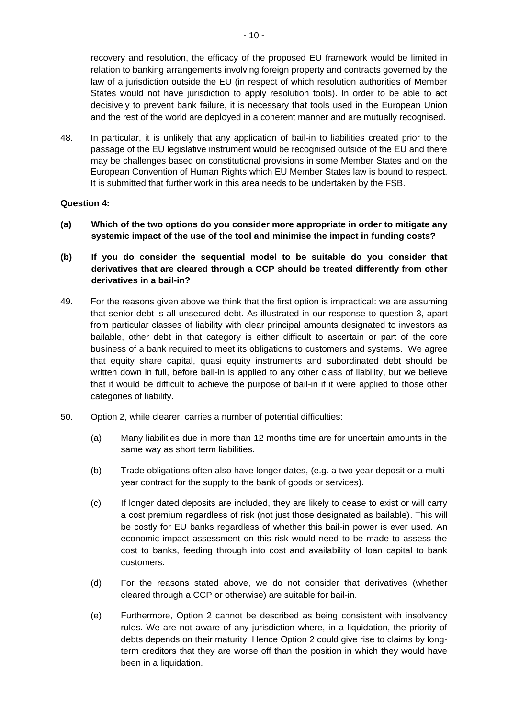recovery and resolution, the efficacy of the proposed EU framework would be limited in relation to banking arrangements involving foreign property and contracts governed by the law of a jurisdiction outside the EU (in respect of which resolution authorities of Member States would not have jurisdiction to apply resolution tools). In order to be able to act decisively to prevent bank failure, it is necessary that tools used in the European Union and the rest of the world are deployed in a coherent manner and are mutually recognised.

48. In particular, it is unlikely that any application of bail-in to liabilities created prior to the passage of the EU legislative instrument would be recognised outside of the EU and there may be challenges based on constitutional provisions in some Member States and on the European Convention of Human Rights which EU Member States law is bound to respect. It is submitted that further work in this area needs to be undertaken by the FSB.

#### **Question 4:**

- **(a) Which of the two options do you consider more appropriate in order to mitigate any systemic impact of the use of the tool and minimise the impact in funding costs?**
- **(b) If you do consider the sequential model to be suitable do you consider that derivatives that are cleared through a CCP should be treated differently from other derivatives in a bail-in?**
- 49. For the reasons given above we think that the first option is impractical: we are assuming that senior debt is all unsecured debt. As illustrated in our response to question 3, apart from particular classes of liability with clear principal amounts designated to investors as bailable, other debt in that category is either difficult to ascertain or part of the core business of a bank required to meet its obligations to customers and systems. We agree that equity share capital, quasi equity instruments and subordinated debt should be written down in full, before bail-in is applied to any other class of liability, but we believe that it would be difficult to achieve the purpose of bail-in if it were applied to those other categories of liability.
- 50. Option 2, while clearer, carries a number of potential difficulties:
	- (a) Many liabilities due in more than 12 months time are for uncertain amounts in the same way as short term liabilities.
	- (b) Trade obligations often also have longer dates, (e.g. a two year deposit or a multiyear contract for the supply to the bank of goods or services).
	- (c) If longer dated deposits are included, they are likely to cease to exist or will carry a cost premium regardless of risk (not just those designated as bailable). This will be costly for EU banks regardless of whether this bail-in power is ever used. An economic impact assessment on this risk would need to be made to assess the cost to banks, feeding through into cost and availability of loan capital to bank customers.
	- (d) For the reasons stated above, we do not consider that derivatives (whether cleared through a CCP or otherwise) are suitable for bail-in.
	- (e) Furthermore, Option 2 cannot be described as being consistent with insolvency rules. We are not aware of any jurisdiction where, in a liquidation, the priority of debts depends on their maturity. Hence Option 2 could give rise to claims by longterm creditors that they are worse off than the position in which they would have been in a liquidation.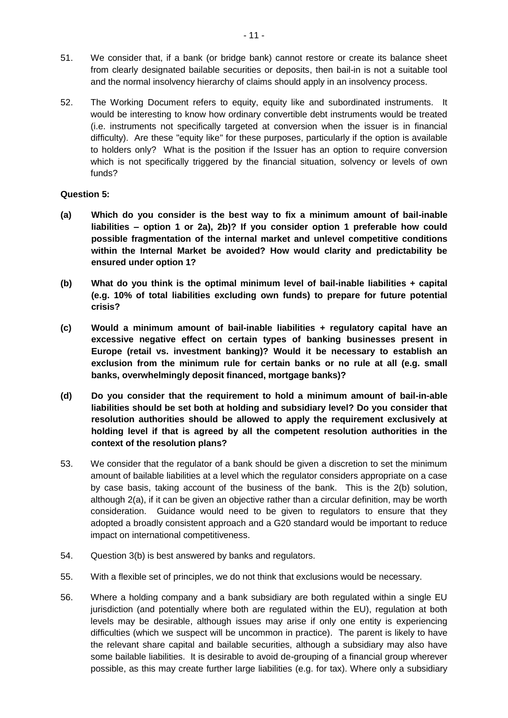- 51. We consider that, if a bank (or bridge bank) cannot restore or create its balance sheet from clearly designated bailable securities or deposits, then bail-in is not a suitable tool and the normal insolvency hierarchy of claims should apply in an insolvency process.
- 52. The Working Document refers to equity, equity like and subordinated instruments. It would be interesting to know how ordinary convertible debt instruments would be treated (i.e. instruments not specifically targeted at conversion when the issuer is in financial difficulty). Are these "equity like" for these purposes, particularly if the option is available to holders only? What is the position if the Issuer has an option to require conversion which is not specifically triggered by the financial situation, solvency or levels of own funds?

#### **Question 5:**

- **(a) Which do you consider is the best way to fix a minimum amount of bail-inable liabilities – option 1 or 2a), 2b)? If you consider option 1 preferable how could possible fragmentation of the internal market and unlevel competitive conditions within the Internal Market be avoided? How would clarity and predictability be ensured under option 1?**
- **(b) What do you think is the optimal minimum level of bail-inable liabilities + capital (e.g. 10% of total liabilities excluding own funds) to prepare for future potential crisis?**
- **(c) Would a minimum amount of bail-inable liabilities + regulatory capital have an excessive negative effect on certain types of banking businesses present in Europe (retail vs. investment banking)? Would it be necessary to establish an exclusion from the minimum rule for certain banks or no rule at all (e.g. small banks, overwhelmingly deposit financed, mortgage banks)?**
- **(d) Do you consider that the requirement to hold a minimum amount of bail-in-able liabilities should be set both at holding and subsidiary level? Do you consider that resolution authorities should be allowed to apply the requirement exclusively at holding level if that is agreed by all the competent resolution authorities in the context of the resolution plans?**
- 53. We consider that the regulator of a bank should be given a discretion to set the minimum amount of bailable liabilities at a level which the regulator considers appropriate on a case by case basis, taking account of the business of the bank. This is the 2(b) solution, although 2(a), if it can be given an objective rather than a circular definition, may be worth consideration. Guidance would need to be given to regulators to ensure that they adopted a broadly consistent approach and a G20 standard would be important to reduce impact on international competitiveness.
- 54. Question 3(b) is best answered by banks and regulators.
- 55. With a flexible set of principles, we do not think that exclusions would be necessary.
- 56. Where a holding company and a bank subsidiary are both regulated within a single EU jurisdiction (and potentially where both are regulated within the EU), regulation at both levels may be desirable, although issues may arise if only one entity is experiencing difficulties (which we suspect will be uncommon in practice). The parent is likely to have the relevant share capital and bailable securities, although a subsidiary may also have some bailable liabilities. It is desirable to avoid de-grouping of a financial group wherever possible, as this may create further large liabilities (e.g. for tax). Where only a subsidiary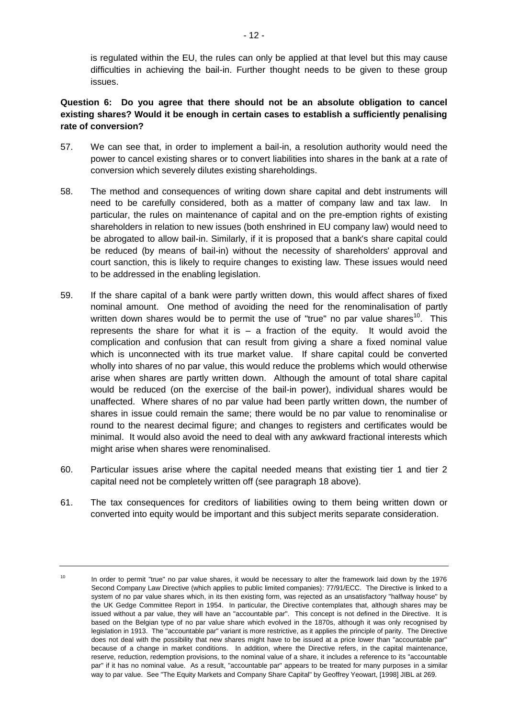is regulated within the EU, the rules can only be applied at that level but this may cause difficulties in achieving the bail-in. Further thought needs to be given to these group issues.

## **Question 6: Do you agree that there should not be an absolute obligation to cancel existing shares? Would it be enough in certain cases to establish a sufficiently penalising rate of conversion?**

- 57. We can see that, in order to implement a bail-in, a resolution authority would need the power to cancel existing shares or to convert liabilities into shares in the bank at a rate of conversion which severely dilutes existing shareholdings.
- 58. The method and consequences of writing down share capital and debt instruments will need to be carefully considered, both as a matter of company law and tax law. In particular, the rules on maintenance of capital and on the pre-emption rights of existing shareholders in relation to new issues (both enshrined in EU company law) would need to be abrogated to allow bail-in. Similarly, if it is proposed that a bank's share capital could be reduced (by means of bail-in) without the necessity of shareholders' approval and court sanction, this is likely to require changes to existing law. These issues would need to be addressed in the enabling legislation.
- 59. If the share capital of a bank were partly written down, this would affect shares of fixed nominal amount. One method of avoiding the need for the renominalisation of partly written down shares would be to permit the use of "true" no par value shares<sup>10</sup>. This represents the share for what it is  $-$  a fraction of the equity. It would avoid the complication and confusion that can result from giving a share a fixed nominal value which is unconnected with its true market value. If share capital could be converted wholly into shares of no par value, this would reduce the problems which would otherwise arise when shares are partly written down. Although the amount of total share capital would be reduced (on the exercise of the bail-in power), individual shares would be unaffected. Where shares of no par value had been partly written down, the number of shares in issue could remain the same; there would be no par value to renominalise or round to the nearest decimal figure; and changes to registers and certificates would be minimal. It would also avoid the need to deal with any awkward fractional interests which might arise when shares were renominalised.
- 60. Particular issues arise where the capital needed means that existing tier 1 and tier 2 capital need not be completely written off (see paragraph [18](#page-4-1) above).
- 61. The tax consequences for creditors of liabilities owing to them being written down or converted into equity would be important and this subject merits separate consideration.

<sup>&</sup>lt;sup>10</sup> In order to permit "true" no par value shares, it would be necessary to alter the framework laid down by the 1976 Second Company Law Directive (which applies to public limited companies): 77/91/ECC. The Directive is linked to a system of no par value shares which, in its then existing form, was rejected as an unsatisfactory "halfway house" by the UK Gedge Committee Report in 1954. In particular, the Directive contemplates that, although shares may be issued without a par value, they will have an "accountable par". This concept is not defined in the Directive. It is based on the Belgian type of no par value share which evolved in the 1870s, although it was only recognised by legislation in 1913. The "accountable par" variant is more restrictive, as it applies the principle of parity. The Directive does not deal with the possibility that new shares might have to be issued at a price lower than "accountable par" because of a change in market conditions. In addition, where the Directive refers, in the capital maintenance, reserve, reduction, redemption provisions, to the nominal value of a share, it includes a reference to its "accountable par" if it has no nominal value. As a result, "accountable par" appears to be treated for many purposes in a similar way to par value. See "The Equity Markets and Company Share Capital" by Geoffrey Yeowart, [1998] JIBL at 269.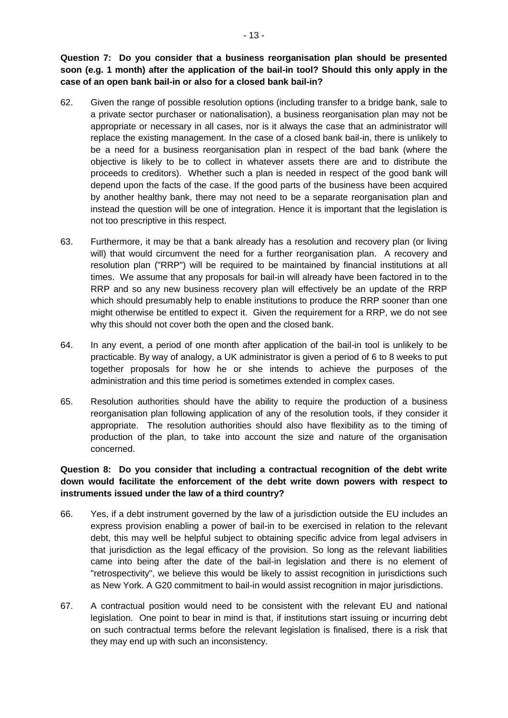**Question 7: Do you consider that a business reorganisation plan should be presented soon (e.g. 1 month) after the application of the bail-in tool? Should this only apply in the case of an open bank bail-in or also for a closed bank bail-in?**

- 62. Given the range of possible resolution options (including transfer to a bridge bank, sale to a private sector purchaser or nationalisation), a business reorganisation plan may not be appropriate or necessary in all cases, nor is it always the case that an administrator will replace the existing management. In the case of a closed bank bail-in, there is unlikely to be a need for a business reorganisation plan in respect of the bad bank (where the objective is likely to be to collect in whatever assets there are and to distribute the proceeds to creditors). Whether such a plan is needed in respect of the good bank will depend upon the facts of the case. If the good parts of the business have been acquired by another healthy bank, there may not need to be a separate reorganisation plan and instead the question will be one of integration. Hence it is important that the legislation is not too prescriptive in this respect.
- 63. Furthermore, it may be that a bank already has a resolution and recovery plan (or living will) that would circumvent the need for a further reorganisation plan. A recovery and resolution plan ("RRP") will be required to be maintained by financial institutions at all times. We assume that any proposals for bail-in will already have been factored in to the RRP and so any new business recovery plan will effectively be an update of the RRP which should presumably help to enable institutions to produce the RRP sooner than one might otherwise be entitled to expect it. Given the requirement for a RRP, we do not see why this should not cover both the open and the closed bank.
- 64. In any event, a period of one month after application of the bail-in tool is unlikely to be practicable. By way of analogy, a UK administrator is given a period of 6 to 8 weeks to put together proposals for how he or she intends to achieve the purposes of the administration and this time period is sometimes extended in complex cases.
- 65. Resolution authorities should have the ability to require the production of a business reorganisation plan following application of any of the resolution tools, if they consider it appropriate. The resolution authorities should also have flexibility as to the timing of production of the plan, to take into account the size and nature of the organisation concerned.

# **Question 8: Do you consider that including a contractual recognition of the debt write down would facilitate the enforcement of the debt write down powers with respect to instruments issued under the law of a third country?**

- 66. Yes, if a debt instrument governed by the law of a jurisdiction outside the EU includes an express provision enabling a power of bail-in to be exercised in relation to the relevant debt, this may well be helpful subject to obtaining specific advice from legal advisers in that jurisdiction as the legal efficacy of the provision. So long as the relevant liabilities came into being after the date of the bail-in legislation and there is no element of "retrospectivity", we believe this would be likely to assist recognition in jurisdictions such as New York. A G20 commitment to bail-in would assist recognition in major jurisdictions.
- 67. A contractual position would need to be consistent with the relevant EU and national legislation. One point to bear in mind is that, if institutions start issuing or incurring debt on such contractual terms before the relevant legislation is finalised, there is a risk that they may end up with such an inconsistency.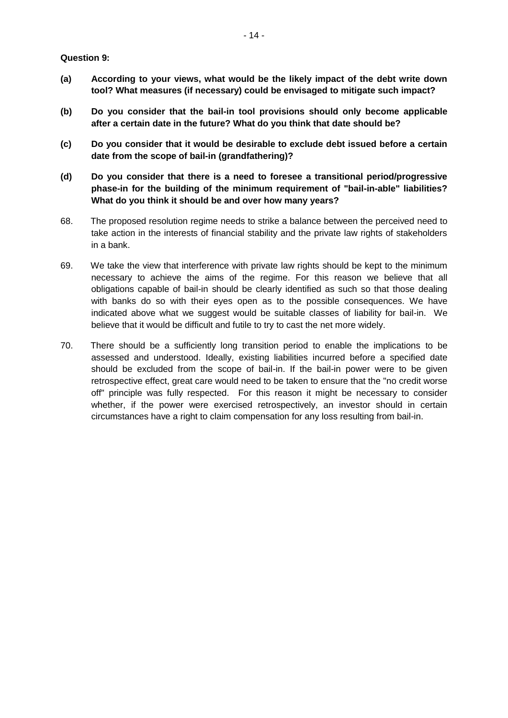**Question 9:**

- **(a) According to your views, what would be the likely impact of the debt write down tool? What measures (if necessary) could be envisaged to mitigate such impact?**
- **(b) Do you consider that the bail-in tool provisions should only become applicable after a certain date in the future? What do you think that date should be?**
- **(c) Do you consider that it would be desirable to exclude debt issued before a certain date from the scope of bail-in (grandfathering)?**
- **(d) Do you consider that there is a need to foresee a transitional period/progressive phase-in for the building of the minimum requirement of "bail-in-able" liabilities? What do you think it should be and over how many years?**
- 68. The proposed resolution regime needs to strike a balance between the perceived need to take action in the interests of financial stability and the private law rights of stakeholders in a bank.
- 69. We take the view that interference with private law rights should be kept to the minimum necessary to achieve the aims of the regime. For this reason we believe that all obligations capable of bail-in should be clearly identified as such so that those dealing with banks do so with their eyes open as to the possible consequences. We have indicated above what we suggest would be suitable classes of liability for bail-in. We believe that it would be difficult and futile to try to cast the net more widely.
- 70. There should be a sufficiently long transition period to enable the implications to be assessed and understood. Ideally, existing liabilities incurred before a specified date should be excluded from the scope of bail-in. If the bail-in power were to be given retrospective effect, great care would need to be taken to ensure that the "no credit worse off" principle was fully respected. For this reason it might be necessary to consider whether, if the power were exercised retrospectively, an investor should in certain circumstances have a right to claim compensation for any loss resulting from bail-in.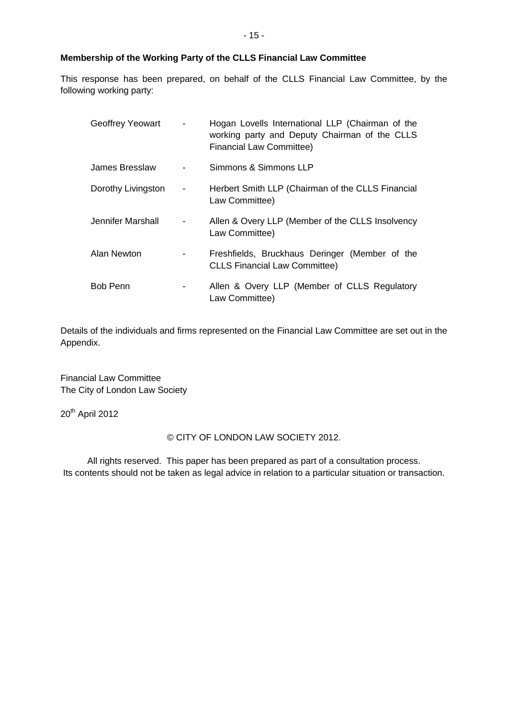### **Membership of the Working Party of the CLLS Financial Law Committee**

This response has been prepared, on behalf of the CLLS Financial Law Committee, by the following working party:

| <b>Geoffrey Yeowart</b> |                          | Hogan Lovells International LLP (Chairman of the<br>working party and Deputy Chairman of the CLLS<br><b>Financial Law Committee)</b> |
|-------------------------|--------------------------|--------------------------------------------------------------------------------------------------------------------------------------|
| James Bresslaw          |                          | Simmons & Simmons LLP                                                                                                                |
| Dorothy Livingston      | $\overline{\phantom{0}}$ | Herbert Smith LLP (Chairman of the CLLS Financial<br>Law Committee)                                                                  |
| Jennifer Marshall       |                          | Allen & Overy LLP (Member of the CLLS Insolvency<br>Law Committee)                                                                   |
| Alan Newton             |                          | Freshfields, Bruckhaus Deringer (Member of the<br><b>CLLS Financial Law Committee)</b>                                               |
| <b>Bob Penn</b>         |                          | Allen & Overy LLP (Member of CLLS Regulatory<br>Law Committee)                                                                       |

Details of the individuals and firms represented on the Financial Law Committee are set out in the Appendix.

Financial Law Committee The City of London Law Society

20<sup>th</sup> April 2012

#### © CITY OF LONDON LAW SOCIETY 2012.

All rights reserved. This paper has been prepared as part of a consultation process. Its contents should not be taken as legal advice in relation to a particular situation or transaction.